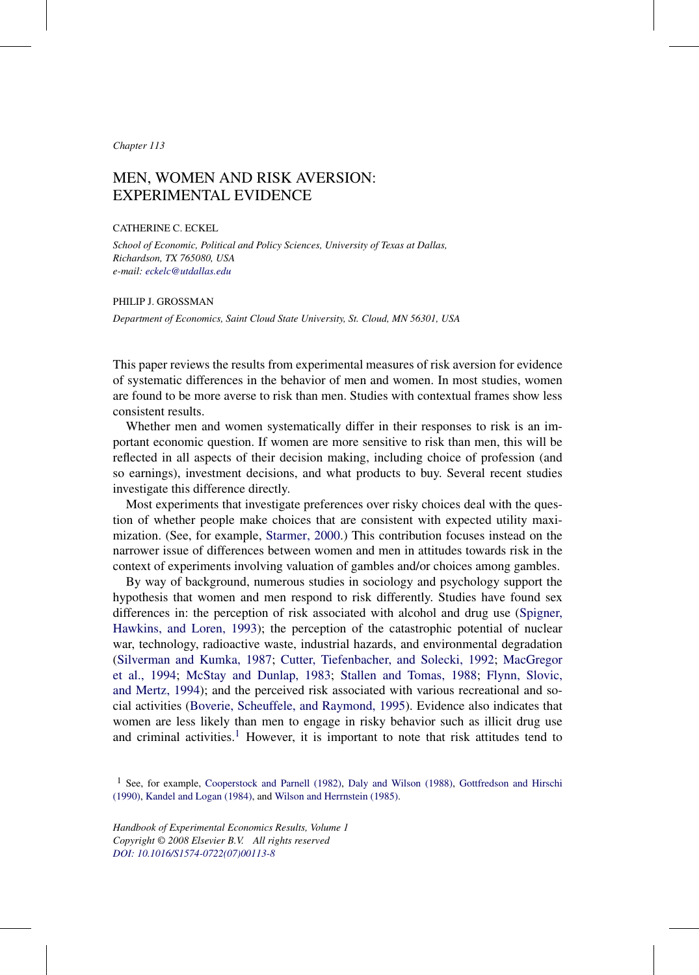*Chapter 113*

# MEN, WOMEN AND RISK AVERSION: EXPERIMENTAL EVIDENCE

#### CATHERINE C. ECKEL

*School of Economic, Political and Policy Sciences, University of Texas at Dallas, Richardson, TX 765080, USA e-mail: [eckelc@utdallas.edu](mailto:eckelc@utdallas.edu)*

#### PHILIP J. GROSSMAN

*Department of Economics, Saint Cloud State University, St. Cloud, MN 56301, USA*

This paper reviews the results from experimental measures of risk aversion for evidence of systematic differences in the behavior of men and women. In most studies, women are found to be more averse to risk than men. Studies with contextual frames show less consistent results.

Whether men and women systematically differ in their responses to risk is an important economic question. If women are more sensitive to risk than men, this will be reflected in all aspects of their decision making, including choice of profession (and so earnings), investment decisions, and what products to buy. Several recent studies investigate this difference directly.

Most experiments that investigate preferences over risky choices deal with the question of whether people make choices that are consistent with expected utility maximization. (See, for example, [Starmer, 2000.](#page-12-0)) This contribution focuses instead on the narrower issue of differences between women and men in attitudes towards risk in the context of experiments involving valuation of gambles and/or choices among gambles.

By way of background, numerous studies in sociology and psychology support the hypothesis that women and men respond to risk differently. Studies have found sex differences in: the perception of risk associated with alcohol and drug use [\(Spigner,](#page-12-0) [Hawkins, and Loren, 1993\)](#page-12-0); the perception of the catastrophic potential of nuclear war, technology, radioactive waste, industrial hazards, and environmental degradation [\(Silverman and Kumka, 1987;](#page-12-0) [Cutter, Tiefenbacher, and Solecki, 1992;](#page-11-0) [MacGregor](#page-12-0) [et al., 1994;](#page-12-0) [McStay and Dunlap, 1983;](#page-12-0) [Stallen and Tomas, 1988;](#page-12-0) [Flynn, Slovic,](#page-11-0) [and Mertz, 1994\)](#page-11-0); and the perceived risk associated with various recreational and social activities [\(Boverie, Scheuffele, and Raymond, 1995\)](#page-11-0). Evidence also indicates that women are less likely than men to engage in risky behavior such as illicit drug use and criminal activities.<sup>1</sup> However, it is important to note that risk attitudes tend to

*Handbook of Experimental Economics Results, Volume 1 Copyright* © *2008 Elsevier B.V. All rights reserved [DOI: 10.1016/S1574-0722\(07\)00113-8](http://dx.doi.org/10.1016/S1574-0722(07)00113-8)*

<sup>&</sup>lt;sup>1</sup> See, for example, [Cooperstock and Parnell \(1982\),](#page-11-0) [Daly and Wilson \(1988\),](#page-11-0) [Gottfredson and Hirschi](#page-11-0) [\(1990\),](#page-11-0) [Kandel and Logan \(1984\),](#page-11-0) and [Wilson and Herrnstein \(1985\).](#page-12-0)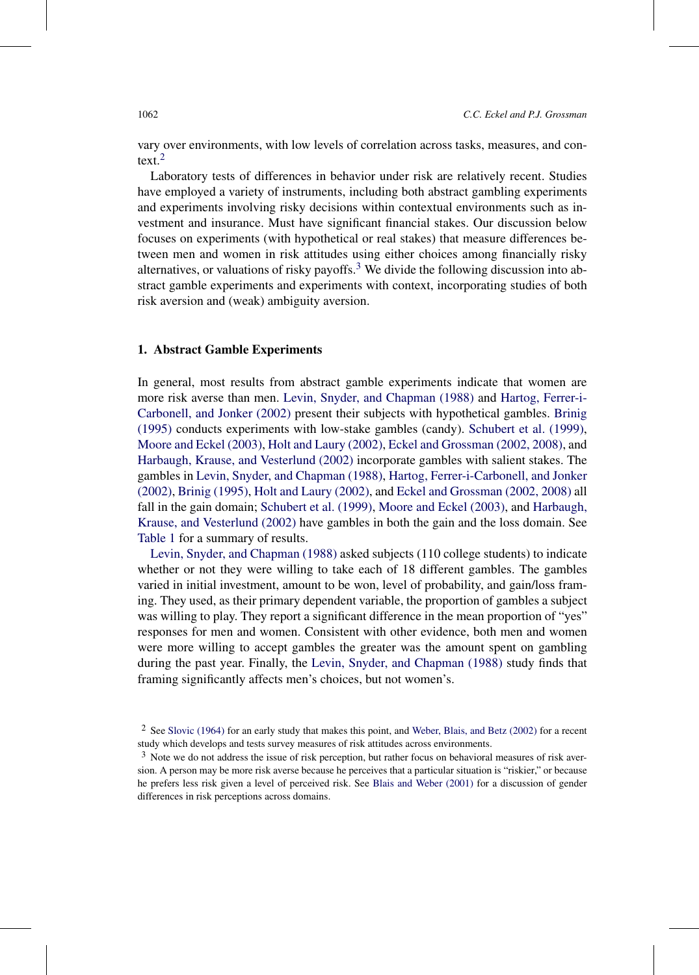vary over environments, with low levels of correlation across tasks, measures, and context. $2$ 

Laboratory tests of differences in behavior under risk are relatively recent. Studies have employed a variety of instruments, including both abstract gambling experiments and experiments involving risky decisions within contextual environments such as investment and insurance. Must have significant financial stakes. Our discussion below focuses on experiments (with hypothetical or real stakes) that measure differences between men and women in risk attitudes using either choices among financially risky alternatives, or valuations of risky payoffs.3 We divide the following discussion into abstract gamble experiments and experiments with context, incorporating studies of both risk aversion and (weak) ambiguity aversion.

## **1. Abstract Gamble Experiments**

In general, most results from abstract gamble experiments indicate that women are more risk averse than men. [Levin, Snyder, and Chapman \(1988\)](#page-12-0) and [Hartog, Ferrer-i-](#page-11-0)[Carbonell, and Jonker \(2002\)](#page-11-0) present their subjects with hypothetical gambles. [Brinig](#page-11-0) [\(1995\)](#page-11-0) conducts experiments with low-stake gambles (candy). [Schubert et al. \(1999\),](#page-12-0) [Moore and Eckel \(2003\),](#page-12-0) [Holt and Laury \(2002\),](#page-11-0) [Eckel and Grossman \(2002, 2008\),](#page-11-0) and [Harbaugh, Krause, and Vesterlund \(2002\)](#page-11-0) incorporate gambles with salient stakes. The gambles in [Levin, Snyder, and Chapman \(1988\),](#page-12-0) [Hartog, Ferrer-i-Carbonell, and Jonker](#page-11-0) [\(2002\),](#page-11-0) [Brinig \(1995\),](#page-11-0) [Holt and Laury \(2002\),](#page-11-0) and [Eckel and Grossman \(2002, 2008\)](#page-11-0) all fall in the gain domain; [Schubert et al. \(1999\),](#page-12-0) [Moore and Eckel \(2003\),](#page-12-0) and [Harbaugh,](#page-11-0) [Krause, and Vesterlund \(2002\)](#page-11-0) have gambles in both the gain and the loss domain. See [Table 1](#page-2-0) for a summary of results.

[Levin, Snyder, and Chapman \(1988\)](#page-12-0) asked subjects (110 college students) to indicate whether or not they were willing to take each of 18 different gambles. The gambles varied in initial investment, amount to be won, level of probability, and gain/loss framing. They used, as their primary dependent variable, the proportion of gambles a subject was willing to play. They report a significant difference in the mean proportion of "yes" responses for men and women. Consistent with other evidence, both men and women were more willing to accept gambles the greater was the amount spent on gambling during the past year. Finally, the [Levin, Snyder, and Chapman \(1988\)](#page-12-0) study finds that framing significantly affects men's choices, but not women's.

<sup>&</sup>lt;sup>2</sup> See [Slovic \(1964\)](#page-12-0) for an early study that makes this point, and [Weber, Blais, and Betz \(2002\)](#page-12-0) for a recent study which develops and tests survey measures of risk attitudes across environments.

<sup>&</sup>lt;sup>3</sup> Note we do not address the issue of risk perception, but rather focus on behavioral measures of risk aversion. A person may be more risk averse because he perceives that a particular situation is "riskier," or because he prefers less risk given a level of perceived risk. See [Blais and Weber \(2001\)](#page-11-0) for a discussion of gender differences in risk perceptions across domains.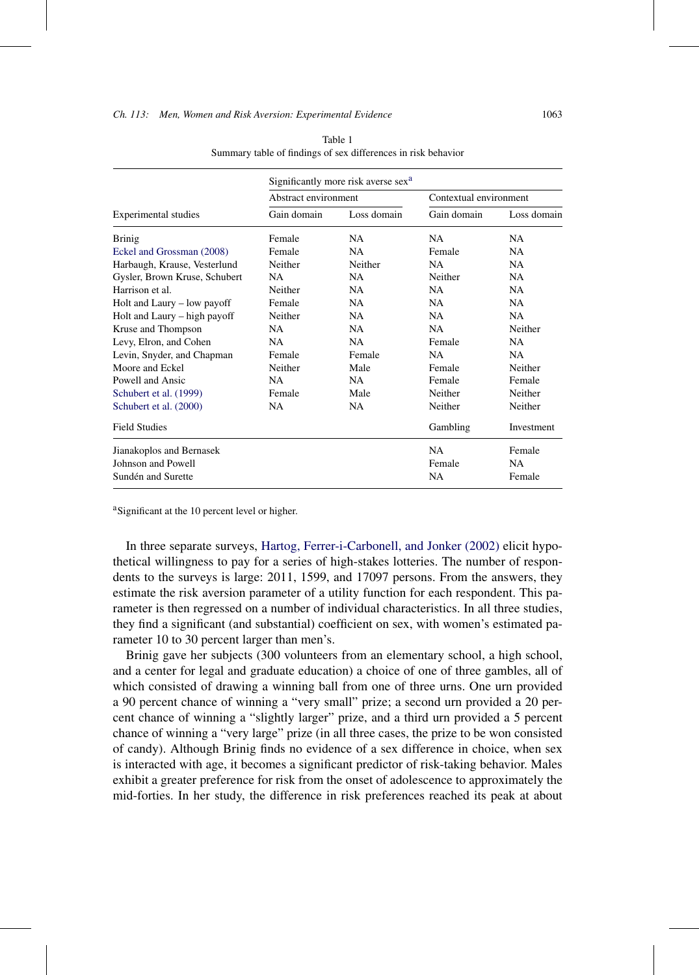<span id="page-2-0"></span>

| Experimental studies          | Significantly more risk averse sex <sup>a</sup> |             |                        |             |  |  |
|-------------------------------|-------------------------------------------------|-------------|------------------------|-------------|--|--|
|                               | Abstract environment                            |             | Contextual environment |             |  |  |
|                               | Gain domain                                     | Loss domain | Gain domain            | Loss domain |  |  |
| Brinig                        | Female                                          | NA.         | NA.                    | NA.         |  |  |
| Eckel and Grossman (2008)     | Female                                          | NA.         | Female                 | NA.         |  |  |
| Harbaugh, Krause, Vesterlund  | Neither                                         | Neither     | NA.                    | NA.         |  |  |
| Gysler, Brown Kruse, Schubert | NA.                                             | NA.         | Neither                | NA.         |  |  |
| Harrison et al.               | Neither                                         | NA.         | NA.                    | NA.         |  |  |
| Holt and Laury $-$ low payoff | Female                                          | NA.         | NA.                    | NA.         |  |  |
| Holt and Laury – high payoff  | Neither                                         | NA.         | NA.                    | NA.         |  |  |
| Kruse and Thompson            | NA.                                             | NA.         | NA.                    | Neither     |  |  |
| Levy, Elron, and Cohen        | NA.                                             | NA.         | Female                 | NA.         |  |  |
| Levin, Snyder, and Chapman    | Female                                          | Female      | NA.                    | NA.         |  |  |
| Moore and Eckel               | Neither                                         | Male        | Female                 | Neither     |  |  |
| Powell and Ansic              | NA.                                             | NA.         | Female                 | Female      |  |  |
| Schubert et al. (1999)        | Female                                          | Male        | Neither                | Neither     |  |  |
| Schubert et al. (2000)        | NA                                              | NA          | Neither                | Neither     |  |  |
| <b>Field Studies</b>          |                                                 |             | Gambling               | Investment  |  |  |
| Jianakoplos and Bernasek      |                                                 |             | NA.                    | Female      |  |  |
| Johnson and Powell            |                                                 |             | Female                 | NA.         |  |  |
| Sundén and Surette            |                                                 |             | NA                     | Female      |  |  |

Table 1 Summary table of findings of sex differences in risk behavior

aSignificant at the 10 percent level or higher.

In three separate surveys, [Hartog, Ferrer-i-Carbonell, and Jonker \(2002\)](#page-11-0) elicit hypothetical willingness to pay for a series of high-stakes lotteries. The number of respondents to the surveys is large: 2011, 1599, and 17097 persons. From the answers, they estimate the risk aversion parameter of a utility function for each respondent. This parameter is then regressed on a number of individual characteristics. In all three studies, they find a significant (and substantial) coefficient on sex, with women's estimated parameter 10 to 30 percent larger than men's.

Brinig gave her subjects (300 volunteers from an elementary school, a high school, and a center for legal and graduate education) a choice of one of three gambles, all of which consisted of drawing a winning ball from one of three urns. One urn provided a 90 percent chance of winning a "very small" prize; a second urn provided a 20 percent chance of winning a "slightly larger" prize, and a third urn provided a 5 percent chance of winning a "very large" prize (in all three cases, the prize to be won consisted of candy). Although Brinig finds no evidence of a sex difference in choice, when sex is interacted with age, it becomes a significant predictor of risk-taking behavior. Males exhibit a greater preference for risk from the onset of adolescence to approximately the mid-forties. In her study, the difference in risk preferences reached its peak at about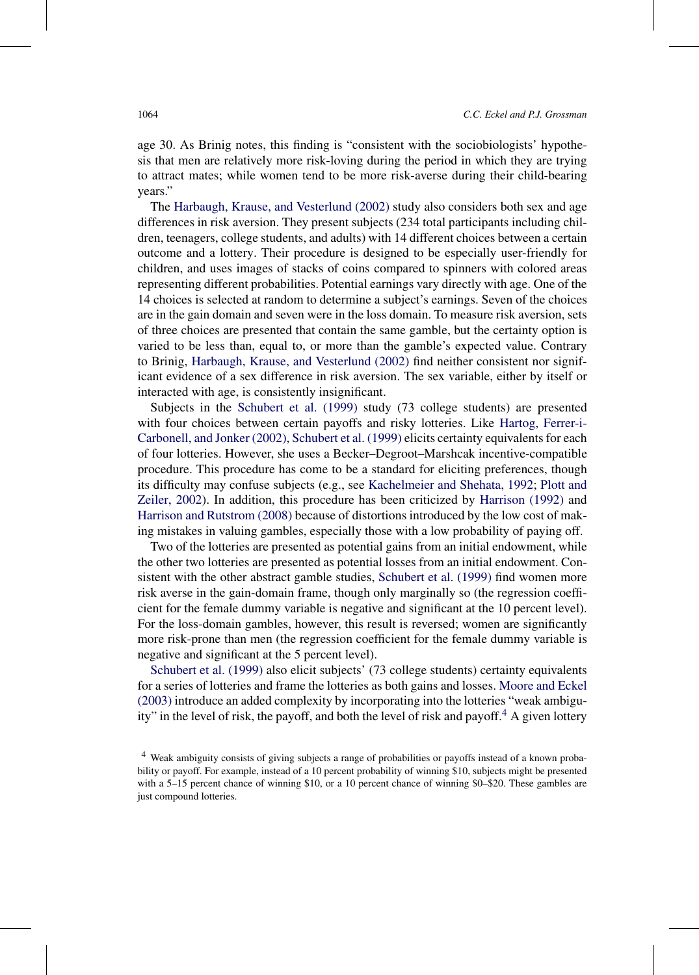age 30. As Brinig notes, this finding is "consistent with the sociobiologists' hypothesis that men are relatively more risk-loving during the period in which they are trying to attract mates; while women tend to be more risk-averse during their child-bearing years."

The [Harbaugh, Krause, and Vesterlund \(2002\)](#page-11-0) study also considers both sex and age differences in risk aversion. They present subjects (234 total participants including children, teenagers, college students, and adults) with 14 different choices between a certain outcome and a lottery. Their procedure is designed to be especially user-friendly for children, and uses images of stacks of coins compared to spinners with colored areas representing different probabilities. Potential earnings vary directly with age. One of the 14 choices is selected at random to determine a subject's earnings. Seven of the choices are in the gain domain and seven were in the loss domain. To measure risk aversion, sets of three choices are presented that contain the same gamble, but the certainty option is varied to be less than, equal to, or more than the gamble's expected value. Contrary to Brinig, [Harbaugh, Krause, and Vesterlund \(2002\)](#page-11-0) find neither consistent nor significant evidence of a sex difference in risk aversion. The sex variable, either by itself or interacted with age, is consistently insignificant.

Subjects in the [Schubert et al. \(1999\)](#page-12-0) study (73 college students) are presented with four choices between certain payoffs and risky lotteries. Like [Hartog, Ferrer-i-](#page-11-0)[Carbonell, and Jonker \(2002\),](#page-11-0) [Schubert et al. \(1999\)](#page-12-0) elicits certainty equivalents for each of four lotteries. However, she uses a Becker–Degroot–Marshcak incentive-compatible procedure. This procedure has come to be a standard for eliciting preferences, though its difficulty may confuse subjects (e.g., see [Kachelmeier and Shehata, 1992;](#page-11-0) [Plott and](#page-12-0) [Zeiler, 2002\)](#page-12-0). In addition, this procedure has been criticized by [Harrison \(1992\)](#page-11-0) and [Harrison and Rutstrom \(2008\)](#page-11-0) because of distortions introduced by the low cost of making mistakes in valuing gambles, especially those with a low probability of paying off.

Two of the lotteries are presented as potential gains from an initial endowment, while the other two lotteries are presented as potential losses from an initial endowment. Consistent with the other abstract gamble studies, [Schubert et al. \(1999\)](#page-12-0) find women more risk averse in the gain-domain frame, though only marginally so (the regression coefficient for the female dummy variable is negative and significant at the 10 percent level). For the loss-domain gambles, however, this result is reversed; women are significantly more risk-prone than men (the regression coefficient for the female dummy variable is negative and significant at the 5 percent level).

[Schubert et al. \(1999\)](#page-12-0) also elicit subjects' (73 college students) certainty equivalents for a series of lotteries and frame the lotteries as both gains and losses. [Moore and Eckel](#page-12-0) [\(2003\)](#page-12-0) introduce an added complexity by incorporating into the lotteries "weak ambiguity" in the level of risk, the payoff, and both the level of risk and payoff.<sup>4</sup> A given lottery

<sup>4</sup> Weak ambiguity consists of giving subjects a range of probabilities or payoffs instead of a known probability or payoff. For example, instead of a 10 percent probability of winning \$10, subjects might be presented with a 5–15 percent chance of winning \$10, or a 10 percent chance of winning \$0–\$20. These gambles are just compound lotteries.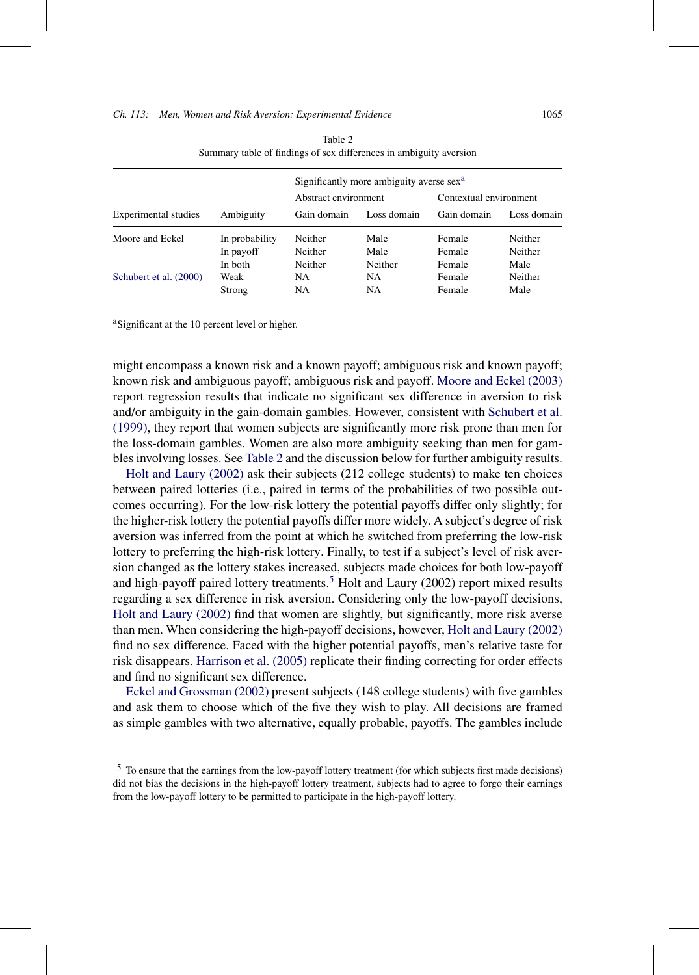<span id="page-4-0"></span>

|                        |                | Significantly more ambiguity averse sex <sup>a</sup> |             |                        |             |  |
|------------------------|----------------|------------------------------------------------------|-------------|------------------------|-------------|--|
|                        | Ambiguity      | Abstract environment                                 |             | Contextual environment |             |  |
| Experimental studies   |                | Gain domain                                          | Loss domain | Gain domain            | Loss domain |  |
| Moore and Eckel        | In probability | Neither                                              | Male        | Female                 | Neither     |  |
|                        | In payoff      | Neither                                              | Male        | Female                 | Neither     |  |
|                        | In both        | Neither                                              | Neither     | Female                 | Male        |  |
| Schubert et al. (2000) | Weak           | NA.                                                  | NA          | Female                 | Neither     |  |
|                        | Strong         | NA                                                   | NA          | Female                 | Male        |  |

Table 2 Summary table of findings of sex differences in ambiguity aversion

<sup>a</sup>Significant at the 10 percent level or higher.

might encompass a known risk and a known payoff; ambiguous risk and known payoff; known risk and ambiguous payoff; ambiguous risk and payoff. [Moore and Eckel \(2003\)](#page-12-0) report regression results that indicate no significant sex difference in aversion to risk and/or ambiguity in the gain-domain gambles. However, consistent with [Schubert et al.](#page-12-0) [\(1999\),](#page-12-0) they report that women subjects are significantly more risk prone than men for the loss-domain gambles. Women are also more ambiguity seeking than men for gambles involving losses. See Table 2 and the discussion below for further ambiguity results.

[Holt and Laury \(2002\)](#page-11-0) ask their subjects (212 college students) to make ten choices between paired lotteries (i.e., paired in terms of the probabilities of two possible outcomes occurring). For the low-risk lottery the potential payoffs differ only slightly; for the higher-risk lottery the potential payoffs differ more widely. A subject's degree of risk aversion was inferred from the point at which he switched from preferring the low-risk lottery to preferring the high-risk lottery. Finally, to test if a subject's level of risk aversion changed as the lottery stakes increased, subjects made choices for both low-payoff and high-payoff paired lottery treatments.<sup>5</sup> Holt and Laury (2002) report mixed results regarding a sex difference in risk aversion. Considering only the low-payoff decisions, [Holt and Laury \(2002\)](#page-11-0) find that women are slightly, but significantly, more risk averse than men. When considering the high-payoff decisions, however, [Holt and Laury \(2002\)](#page-11-0) find no sex difference. Faced with the higher potential payoffs, men's relative taste for risk disappears. [Harrison et al. \(2005\)](#page-11-0) replicate their finding correcting for order effects and find no significant sex difference.

[Eckel and Grossman \(2002\)](#page-11-0) present subjects (148 college students) with five gambles and ask them to choose which of the five they wish to play. All decisions are framed as simple gambles with two alternative, equally probable, payoffs. The gambles include

<sup>5</sup> To ensure that the earnings from the low-payoff lottery treatment (for which subjects first made decisions) did not bias the decisions in the high-payoff lottery treatment, subjects had to agree to forgo their earnings from the low-payoff lottery to be permitted to participate in the high-payoff lottery.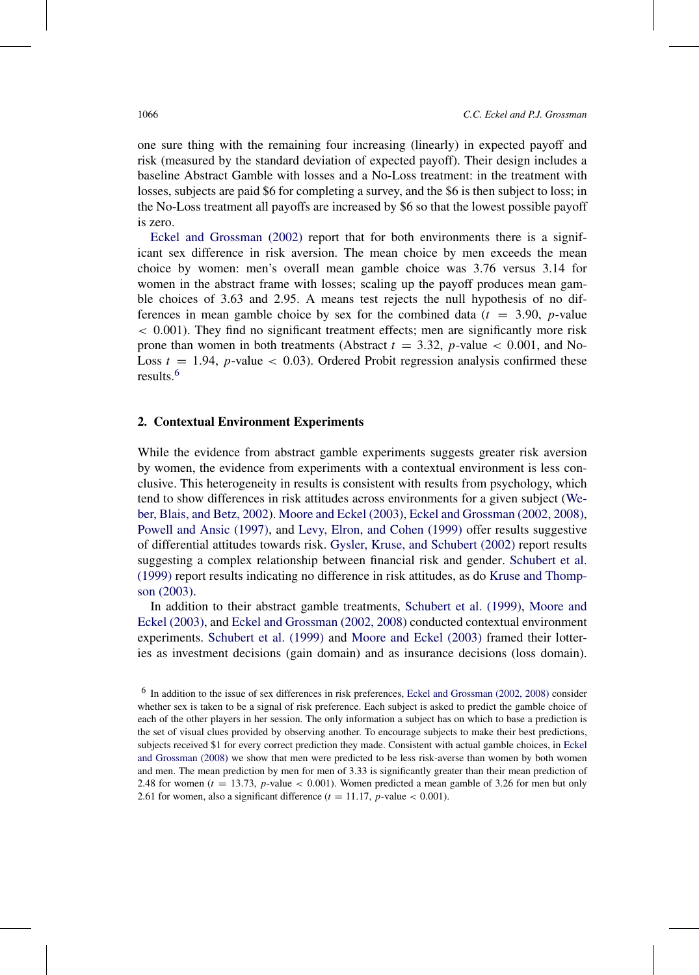one sure thing with the remaining four increasing (linearly) in expected payoff and risk (measured by the standard deviation of expected payoff). Their design includes a baseline Abstract Gamble with losses and a No-Loss treatment: in the treatment with losses, subjects are paid \$6 for completing a survey, and the \$6 is then subject to loss; in the No-Loss treatment all payoffs are increased by \$6 so that the lowest possible payoff is zero.

[Eckel and Grossman \(2002\)](#page-11-0) report that for both environments there is a significant sex difference in risk aversion. The mean choice by men exceeds the mean choice by women: men's overall mean gamble choice was 3.76 versus 3.14 for women in the abstract frame with losses; scaling up the payoff produces mean gamble choices of 3.63 and 2.95. A means test rejects the null hypothesis of no differences in mean gamble choice by sex for the combined data  $(t = 3.90, p-value$ *<* 0*.*001). They find no significant treatment effects; men are significantly more risk prone than women in both treatments (Abstract  $t = 3.32$ , *p*-value  $\lt$  0.001, and No-Loss  $t = 1.94$ , *p*-value  $\lt 0.03$ ). Ordered Probit regression analysis confirmed these results  $6$ 

### **2. Contextual Environment Experiments**

While the evidence from abstract gamble experiments suggests greater risk aversion by women, the evidence from experiments with a contextual environment is less conclusive. This heterogeneity in results is consistent with results from psychology, which tend to show differences in risk attitudes across environments for a given subject [\(We](#page-12-0)[ber, Blais, and Betz, 2002\)](#page-12-0). [Moore and Eckel \(2003\),](#page-12-0) [Eckel and Grossman \(2002, 2008\),](#page-11-0) [Powell and Ansic \(1997\),](#page-12-0) and [Levy, Elron, and Cohen \(1999\)](#page-12-0) offer results suggestive of differential attitudes towards risk. [Gysler, Kruse, and Schubert \(2002\)](#page-11-0) report results suggesting a complex relationship between financial risk and gender. [Schubert et al.](#page-12-0) [\(1999\)](#page-12-0) report results indicating no difference in risk attitudes, as do [Kruse and Thomp](#page-11-0)[son \(2003\).](#page-11-0)

In addition to their abstract gamble treatments, [Schubert et al. \(1999\),](#page-12-0) [Moore and](#page-12-0) [Eckel \(2003\),](#page-12-0) and [Eckel and Grossman \(2002, 2008\)](#page-11-0) conducted contextual environment experiments. [Schubert et al. \(1999\)](#page-12-0) and [Moore and Eckel \(2003\)](#page-12-0) framed their lotteries as investment decisions (gain domain) and as insurance decisions (loss domain).

<sup>6</sup> In addition to the issue of sex differences in risk preferences, [Eckel and Grossman \(2002, 2008\)](#page-11-0) consider whether sex is taken to be a signal of risk preference. Each subject is asked to predict the gamble choice of each of the other players in her session. The only information a subject has on which to base a prediction is the set of visual clues provided by observing another. To encourage subjects to make their best predictions, subjects received \$1 for every correct prediction they made. Consistent with actual gamble choices, in [Eckel](#page-11-0) [and Grossman \(2008\)](#page-11-0) we show that men were predicted to be less risk-averse than women by both women and men. The mean prediction by men for men of 3.33 is significantly greater than their mean prediction of 2.48 for women ( $t = 13.73$ ,  $p$ -value  $\lt 0.001$ ). Women predicted a mean gamble of 3.26 for men but only 2.61 for women, also a significant difference  $(t = 11.17, p$ -value  $< 0.001$ ).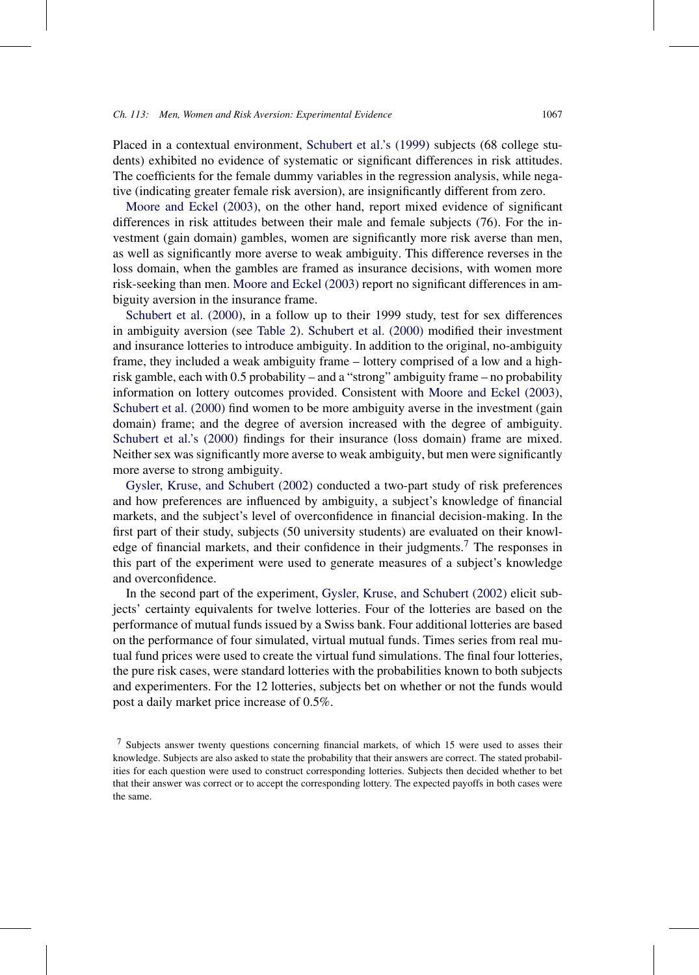Placed in a contextual environment, [Schubert et al.'s \(1999\)](#page-12-0) subjects (68 college students) exhibited no evidence of systematic or significant differences in risk attitudes. The coefficients for the female dummy variables in the regression analysis, while negative (indicating greater female risk aversion), are insignificantly different from zero.

[Moore and Eckel \(2003\),](#page-12-0) on the other hand, report mixed evidence of significant differences in risk attitudes between their male and female subjects (76). For the investment (gain domain) gambles, women are significantly more risk averse than men, as well as significantly more averse to weak ambiguity. This difference reverses in the loss domain, when the gambles are framed as insurance decisions, with women more risk-seeking than men. [Moore and Eckel \(2003\)](#page-12-0) report no significant differences in ambiguity aversion in the insurance frame.

[Schubert et al. \(2000\),](#page-12-0) in a follow up to their 1999 study, test for sex differences in ambiguity aversion (see [Table 2\)](#page-4-0). [Schubert et al. \(2000\)](#page-12-0) modified their investment and insurance lotteries to introduce ambiguity. In addition to the original, no-ambiguity frame, they included a weak ambiguity frame – lottery comprised of a low and a highrisk gamble, each with 0.5 probability – and a "strong" ambiguity frame – no probability information on lottery outcomes provided. Consistent with [Moore and Eckel \(2003\),](#page-12-0) [Schubert et al. \(2000\)](#page-12-0) find women to be more ambiguity averse in the investment (gain domain) frame; and the degree of aversion increased with the degree of ambiguity. [Schubert et al.'s \(2000\)](#page-12-0) findings for their insurance (loss domain) frame are mixed. Neither sex was significantly more averse to weak ambiguity, but men were significantly more averse to strong ambiguity.

[Gysler, Kruse, and Schubert \(2002\)](#page-11-0) conducted a two-part study of risk preferences and how preferences are influenced by ambiguity, a subject's knowledge of financial markets, and the subject's level of overconfidence in financial decision-making. In the first part of their study, subjects (50 university students) are evaluated on their knowledge of financial markets, and their confidence in their judgments.<sup>7</sup> The responses in this part of the experiment were used to generate measures of a subject's knowledge and overconfidence.

In the second part of the experiment, [Gysler, Kruse, and Schubert \(2002\)](#page-11-0) elicit subjects' certainty equivalents for twelve lotteries. Four of the lotteries are based on the performance of mutual funds issued by a Swiss bank. Four additional lotteries are based on the performance of four simulated, virtual mutual funds. Times series from real mutual fund prices were used to create the virtual fund simulations. The final four lotteries, the pure risk cases, were standard lotteries with the probabilities known to both subjects and experimenters. For the 12 lotteries, subjects bet on whether or not the funds would post a daily market price increase of 0.5%.

<sup>7</sup> Subjects answer twenty questions concerning financial markets, of which 15 were used to asses their knowledge. Subjects are also asked to state the probability that their answers are correct. The stated probabilities for each question were used to construct corresponding lotteries. Subjects then decided whether to bet that their answer was correct or to accept the corresponding lottery. The expected payoffs in both cases were the same.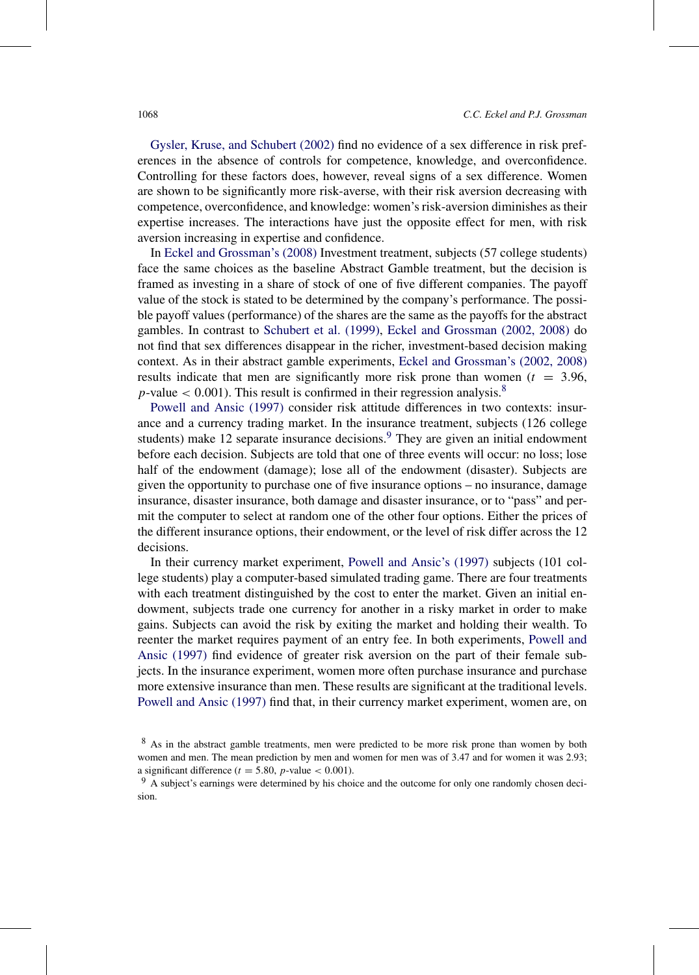[Gysler, Kruse, and Schubert \(2002\)](#page-11-0) find no evidence of a sex difference in risk preferences in the absence of controls for competence, knowledge, and overconfidence. Controlling for these factors does, however, reveal signs of a sex difference. Women are shown to be significantly more risk-averse, with their risk aversion decreasing with competence, overconfidence, and knowledge: women's risk-aversion diminishes as their expertise increases. The interactions have just the opposite effect for men, with risk aversion increasing in expertise and confidence.

In [Eckel and Grossman's \(2008\)](#page-11-0) Investment treatment, subjects (57 college students) face the same choices as the baseline Abstract Gamble treatment, but the decision is framed as investing in a share of stock of one of five different companies. The payoff value of the stock is stated to be determined by the company's performance. The possible payoff values (performance) of the shares are the same as the payoffs for the abstract gambles. In contrast to [Schubert et al. \(1999\),](#page-12-0) [Eckel and Grossman \(2002, 2008\)](#page-11-0) do not find that sex differences disappear in the richer, investment-based decision making context. As in their abstract gamble experiments, [Eckel and Grossman's \(2002, 2008\)](#page-11-0) results indicate that men are significantly more risk prone than women  $(t = 3.96,$  $p$ -value  $< 0.001$ ). This result is confirmed in their regression analysis.<sup>8</sup>

Powell and Ansic (1997) consider risk attitude differences in two contexts: insurance and a currency trading market. In the insurance treatment, subjects (126 college students) make 12 separate insurance decisions. <sup>9</sup> They are given an initial endowment before each decision. Subjects are told that one of three events will occur: no loss; lose half of the endowment (damage); lose all of the endowment (disaster). Subjects are given the opportunity to purchase one of five insurance options – no insurance, damage insurance, disaster insurance, both damage and disaster insurance, or to "pass" and permit the computer to select at random one of the other four options. Either the prices of the different insurance options, their endowment, or the level of risk differ across the 12 decisions.

In their currency market experiment, [Powell and Ansic's \(1997\)](#page-12-0) subjects (101 college students) play a computer-based simulated trading game. There are four treatments with each treatment distinguished by the cost to enter the market. Given an initial endowment, subjects trade one currency for another in a risky market in order to make gains. Subjects can avoid the risk by exiting the market and holding their wealth. To reenter the market requires payment of an entry fee. In both experiments, [Powell and](#page-12-0) [Ansic \(1997\)](#page-12-0) find evidence of greater risk aversion on the part of their female subjects. In the insurance experiment, women more often purchase insurance and purchase more extensive insurance than men. These results are significant at the traditional levels. [Powell and Ansic \(1997\)](#page-12-0) find that, in their currency market experiment, women are, on

<sup>&</sup>lt;sup>8</sup> As in the abstract gamble treatments, men were predicted to be more risk prone than women by both women and men. The mean prediction by men and women for men was of 3.47 and for women it was 2.93; a significant difference  $(t = 5.80, p-value < 0.001)$ .

<sup>9</sup> A subject's earnings were determined by his choice and the outcome for only one randomly chosen decision.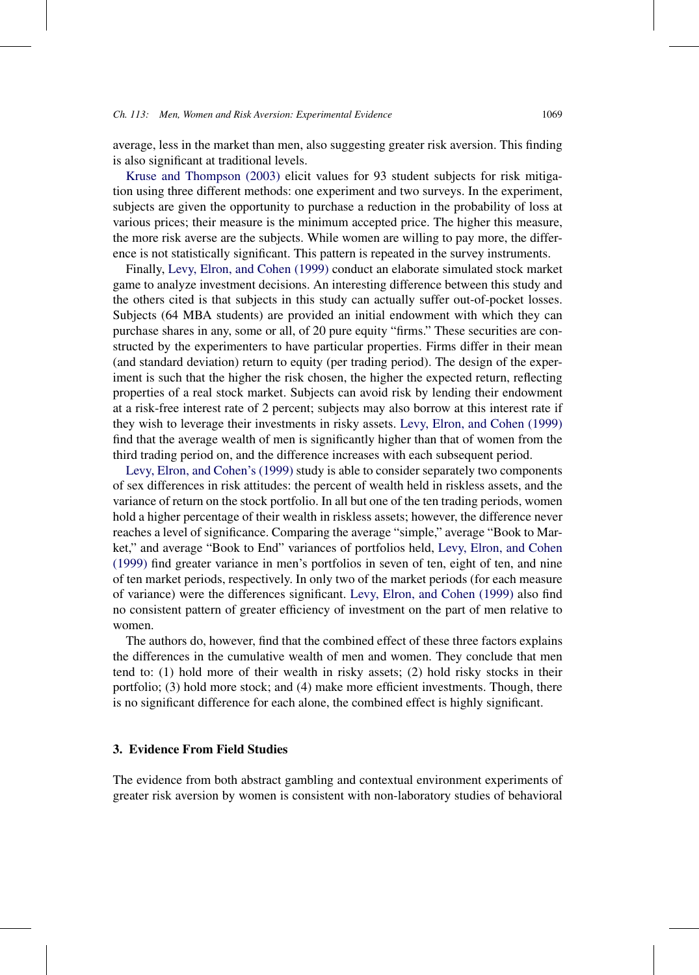average, less in the market than men, also suggesting greater risk aversion. This finding is also significant at traditional levels.

[Kruse and Thompson \(2003\)](#page-11-0) elicit values for 93 student subjects for risk mitigation using three different methods: one experiment and two surveys. In the experiment, subjects are given the opportunity to purchase a reduction in the probability of loss at various prices; their measure is the minimum accepted price. The higher this measure, the more risk averse are the subjects. While women are willing to pay more, the difference is not statistically significant. This pattern is repeated in the survey instruments.

Finally, [Levy, Elron, and Cohen \(1999\)](#page-12-0) conduct an elaborate simulated stock market game to analyze investment decisions. An interesting difference between this study and the others cited is that subjects in this study can actually suffer out-of-pocket losses. Subjects (64 MBA students) are provided an initial endowment with which they can purchase shares in any, some or all, of 20 pure equity "firms." These securities are constructed by the experimenters to have particular properties. Firms differ in their mean (and standard deviation) return to equity (per trading period). The design of the experiment is such that the higher the risk chosen, the higher the expected return, reflecting properties of a real stock market. Subjects can avoid risk by lending their endowment at a risk-free interest rate of 2 percent; subjects may also borrow at this interest rate if they wish to leverage their investments in risky assets. [Levy, Elron, and Cohen \(1999\)](#page-12-0) find that the average wealth of men is significantly higher than that of women from the third trading period on, and the difference increases with each subsequent period.

[Levy, Elron, and Cohen's \(1999\)](#page-12-0) study is able to consider separately two components of sex differences in risk attitudes: the percent of wealth held in riskless assets, and the variance of return on the stock portfolio. In all but one of the ten trading periods, women hold a higher percentage of their wealth in riskless assets; however, the difference never reaches a level of significance. Comparing the average "simple," average "Book to Market," and average "Book to End" variances of portfolios held, [Levy, Elron, and Cohen](#page-12-0) [\(1999\)](#page-12-0) find greater variance in men's portfolios in seven of ten, eight of ten, and nine of ten market periods, respectively. In only two of the market periods (for each measure of variance) were the differences significant. [Levy, Elron, and Cohen \(1999\)](#page-12-0) also find no consistent pattern of greater efficiency of investment on the part of men relative to women.

The authors do, however, find that the combined effect of these three factors explains the differences in the cumulative wealth of men and women. They conclude that men tend to: (1) hold more of their wealth in risky assets; (2) hold risky stocks in their portfolio; (3) hold more stock; and (4) make more efficient investments. Though, there is no significant difference for each alone, the combined effect is highly significant.

## **3. Evidence From Field Studies**

The evidence from both abstract gambling and contextual environment experiments of greater risk aversion by women is consistent with non-laboratory studies of behavioral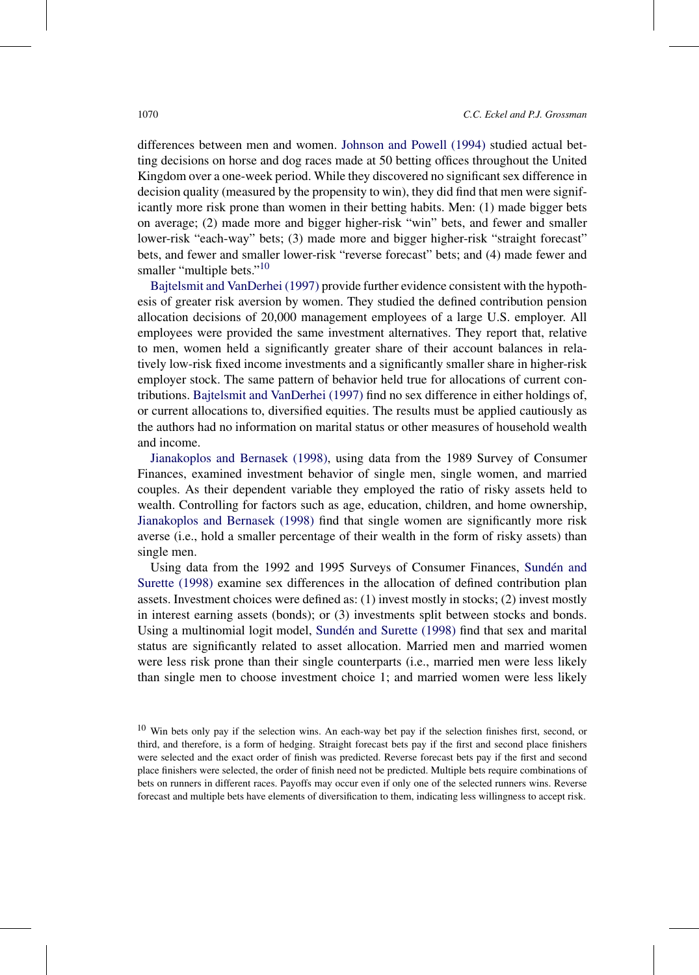differences between men and women. [Johnson and Powell \(1994\)](#page-11-0) studied actual betting decisions on horse and dog races made at 50 betting offices throughout the United Kingdom over a one-week period. While they discovered no significant sex difference in decision quality (measured by the propensity to win), they did find that men were significantly more risk prone than women in their betting habits. Men: (1) made bigger bets on average; (2) made more and bigger higher-risk "win" bets, and fewer and smaller lower-risk "each-way" bets; (3) made more and bigger higher-risk "straight forecast" bets, and fewer and smaller lower-risk "reverse forecast" bets; and (4) made fewer and smaller "multiple bets."<sup>10</sup>

Bajtelsmit and VanDerhei (1997) provide further evidence consistent with the hypothesis of greater risk aversion by women. They studied the defined contribution pension allocation decisions of 20,000 management employees of a large U.S. employer. All employees were provided the same investment alternatives. They report that, relative to men, women held a significantly greater share of their account balances in relatively low-risk fixed income investments and a significantly smaller share in higher-risk employer stock. The same pattern of behavior held true for allocations of current contributions. [Bajtelsmit and VanDerhei \(1997\)](#page-11-0) find no sex difference in either holdings of, or current allocations to, diversified equities. The results must be applied cautiously as the authors had no information on marital status or other measures of household wealth and income.

[Jianakoplos and Bernasek \(1998\),](#page-11-0) using data from the 1989 Survey of Consumer Finances, examined investment behavior of single men, single women, and married couples. As their dependent variable they employed the ratio of risky assets held to wealth. Controlling for factors such as age, education, children, and home ownership, [Jianakoplos and Bernasek \(1998\)](#page-11-0) find that single women are significantly more risk averse (i.e., hold a smaller percentage of their wealth in the form of risky assets) than single men.

Using data from the 1992 and 1995 Surveys of Consumer Finances, [Sundén and](#page-12-0) [Surette \(1998\)](#page-12-0) examine sex differences in the allocation of defined contribution plan assets. Investment choices were defined as: (1) invest mostly in stocks; (2) invest mostly in interest earning assets (bonds); or (3) investments split between stocks and bonds. Using a multinomial logit model, [Sundén and Surette \(1998\)](#page-12-0) find that sex and marital status are significantly related to asset allocation. Married men and married women were less risk prone than their single counterparts (i.e., married men were less likely than single men to choose investment choice 1; and married women were less likely

 $10$  Win bets only pay if the selection wins. An each-way bet pay if the selection finishes first, second, or third, and therefore, is a form of hedging. Straight forecast bets pay if the first and second place finishers were selected and the exact order of finish was predicted. Reverse forecast bets pay if the first and second place finishers were selected, the order of finish need not be predicted. Multiple bets require combinations of bets on runners in different races. Payoffs may occur even if only one of the selected runners wins. Reverse forecast and multiple bets have elements of diversification to them, indicating less willingness to accept risk.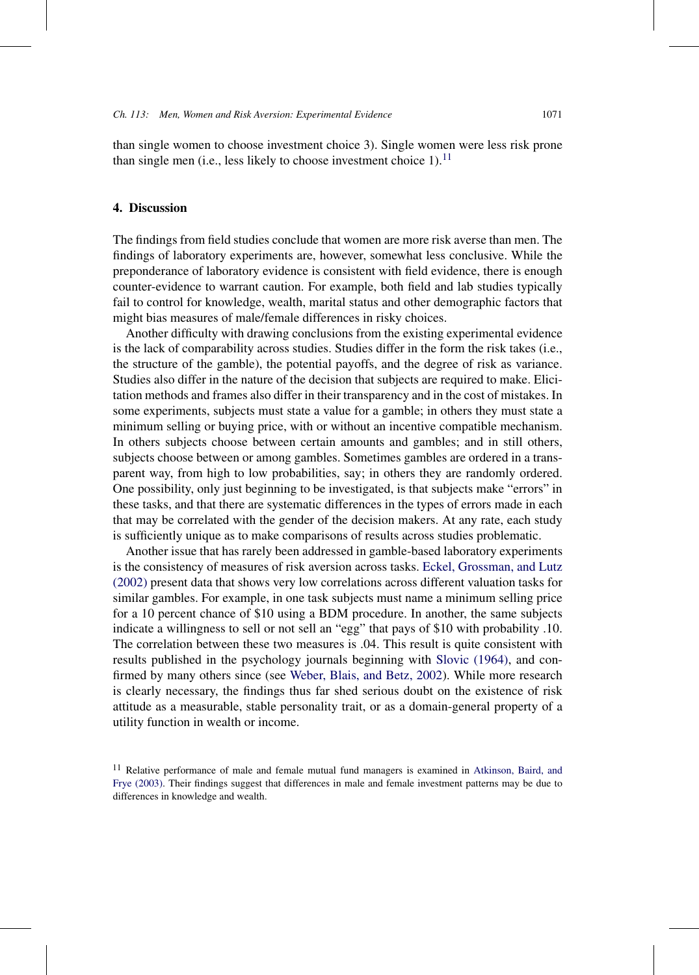than single women to choose investment choice 3). Single women were less risk prone than single men (i.e., less likely to choose investment choice  $1$ ).<sup>11</sup>

## **4. Discussion**

The findings from field studies conclude that women are more risk averse than men. The findings of laboratory experiments are, however, somewhat less conclusive. While the preponderance of laboratory evidence is consistent with field evidence, there is enough counter-evidence to warrant caution. For example, both field and lab studies typically fail to control for knowledge, wealth, marital status and other demographic factors that might bias measures of male/female differences in risky choices.

Another difficulty with drawing conclusions from the existing experimental evidence is the lack of comparability across studies. Studies differ in the form the risk takes (i.e., the structure of the gamble), the potential payoffs, and the degree of risk as variance. Studies also differ in the nature of the decision that subjects are required to make. Elicitation methods and frames also differ in their transparency and in the cost of mistakes. In some experiments, subjects must state a value for a gamble; in others they must state a minimum selling or buying price, with or without an incentive compatible mechanism. In others subjects choose between certain amounts and gambles; and in still others, subjects choose between or among gambles. Sometimes gambles are ordered in a transparent way, from high to low probabilities, say; in others they are randomly ordered. One possibility, only just beginning to be investigated, is that subjects make "errors" in these tasks, and that there are systematic differences in the types of errors made in each that may be correlated with the gender of the decision makers. At any rate, each study is sufficiently unique as to make comparisons of results across studies problematic.

Another issue that has rarely been addressed in gamble-based laboratory experiments is the consistency of measures of risk aversion across tasks. [Eckel, Grossman, and Lutz](#page-11-0) [\(2002\)](#page-11-0) present data that shows very low correlations across different valuation tasks for similar gambles. For example, in one task subjects must name a minimum selling price for a 10 percent chance of \$10 using a BDM procedure. In another, the same subjects indicate a willingness to sell or not sell an "egg" that pays of \$10 with probability .10. The correlation between these two measures is .04. This result is quite consistent with results published in the psychology journals beginning with [Slovic \(1964\),](#page-12-0) and confirmed by many others since (see [Weber, Blais, and Betz, 2002\)](#page-12-0). While more research is clearly necessary, the findings thus far shed serious doubt on the existence of risk attitude as a measurable, stable personality trait, or as a domain-general property of a utility function in wealth or income.

<sup>&</sup>lt;sup>11</sup> Relative performance of male and female mutual fund managers is examined in [Atkinson, Baird, and](#page-11-0) [Frye \(2003\).](#page-11-0) Their findings suggest that differences in male and female investment patterns may be due to differences in knowledge and wealth.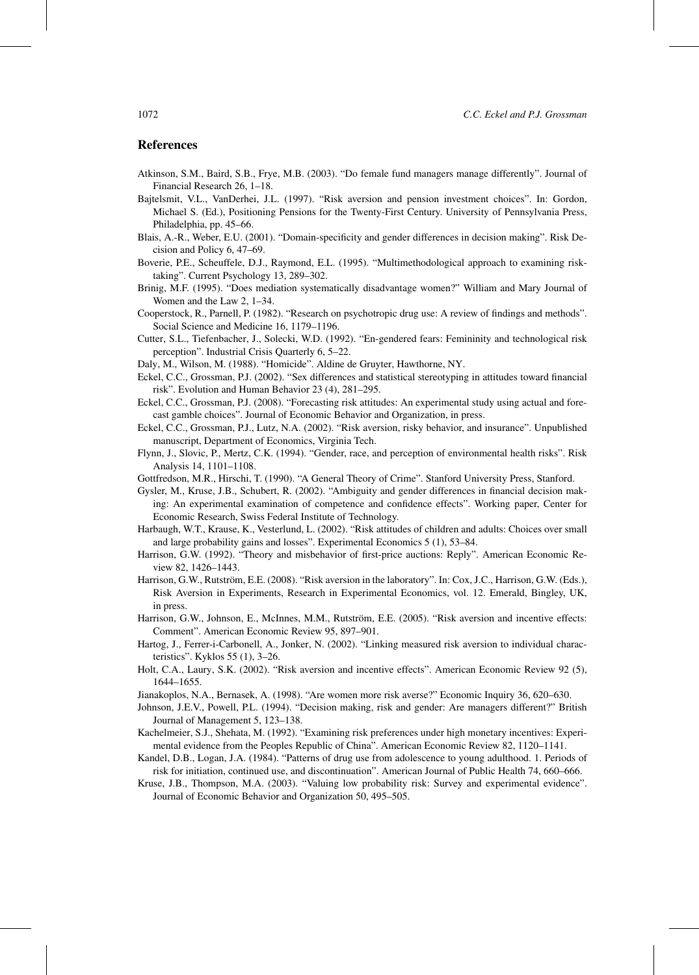### <span id="page-11-0"></span>**References**

- Atkinson, S.M., Baird, S.B., Frye, M.B. (2003). "Do female fund managers manage differently". Journal of Financial Research 26, 1–18.
- Bajtelsmit, V.L., VanDerhei, J.L. (1997). "Risk aversion and pension investment choices". In: Gordon, Michael S. (Ed.), Positioning Pensions for the Twenty-First Century. University of Pennsylvania Press, Philadelphia, pp. 45–66.
- Blais, A.-R., Weber, E.U. (2001). "Domain-specificity and gender differences in decision making". Risk Decision and Policy 6, 47–69.
- Boverie, P.E., Scheuffele, D.J., Raymond, E.L. (1995). "Multimethodological approach to examining risktaking". Current Psychology 13, 289–302.
- Brinig, M.F. (1995). "Does mediation systematically disadvantage women?" William and Mary Journal of Women and the Law 2, 1–34.
- Cooperstock, R., Parnell, P. (1982). "Research on psychotropic drug use: A review of findings and methods". Social Science and Medicine 16, 1179–1196.
- Cutter, S.L., Tiefenbacher, J., Solecki, W.D. (1992). "En-gendered fears: Femininity and technological risk perception". Industrial Crisis Quarterly 6, 5–22.
- Daly, M., Wilson, M. (1988). "Homicide". Aldine de Gruyter, Hawthorne, NY.
- Eckel, C.C., Grossman, P.J. (2002). "Sex differences and statistical stereotyping in attitudes toward financial risk". Evolution and Human Behavior 23 (4), 281–295.
- Eckel, C.C., Grossman, P.J. (2008). "Forecasting risk attitudes: An experimental study using actual and forecast gamble choices". Journal of Economic Behavior and Organization, in press.
- Eckel, C.C., Grossman, P.J., Lutz, N.A. (2002). "Risk aversion, risky behavior, and insurance". Unpublished manuscript, Department of Economics, Virginia Tech.
- Flynn, J., Slovic, P., Mertz, C.K. (1994). "Gender, race, and perception of environmental health risks". Risk Analysis 14, 1101–1108.
- Gottfredson, M.R., Hirschi, T. (1990). "A General Theory of Crime". Stanford University Press, Stanford.
- Gysler, M., Kruse, J.B., Schubert, R. (2002). "Ambiguity and gender differences in financial decision making: An experimental examination of competence and confidence effects". Working paper, Center for Economic Research, Swiss Federal Institute of Technology.
- Harbaugh, W.T., Krause, K., Vesterlund, L. (2002). "Risk attitudes of children and adults: Choices over small and large probability gains and losses". Experimental Economics 5 (1), 53–84.
- Harrison, G.W. (1992). "Theory and misbehavior of first-price auctions: Reply". American Economic Review 82, 1426–1443.
- Harrison, G.W., Rutström, E.E. (2008). "Risk aversion in the laboratory". In: Cox, J.C., Harrison, G.W. (Eds.), Risk Aversion in Experiments, Research in Experimental Economics, vol. 12. Emerald, Bingley, UK, in press.
- Harrison, G.W., Johnson, E., McInnes, M.M., Rutström, E.E. (2005). "Risk aversion and incentive effects: Comment". American Economic Review 95, 897–901.
- Hartog, J., Ferrer-i-Carbonell, A., Jonker, N. (2002). "Linking measured risk aversion to individual characteristics". Kyklos 55 (1), 3–26.
- Holt, C.A., Laury, S.K. (2002). "Risk aversion and incentive effects". American Economic Review 92 (5), 1644–1655.
- Jianakoplos, N.A., Bernasek, A. (1998). "Are women more risk averse?" Economic Inquiry 36, 620–630.
- Johnson, J.E.V., Powell, P.L. (1994). "Decision making, risk and gender: Are managers different?" British Journal of Management 5, 123–138.
- Kachelmeier, S.J., Shehata, M. (1992). "Examining risk preferences under high monetary incentives: Experimental evidence from the Peoples Republic of China". American Economic Review 82, 1120–1141.
- Kandel, D.B., Logan, J.A. (1984). "Patterns of drug use from adolescence to young adulthood. 1. Periods of risk for initiation, continued use, and discontinuation". American Journal of Public Health 74, 660–666.
- Kruse, J.B., Thompson, M.A. (2003). "Valuing low probability risk: Survey and experimental evidence". Journal of Economic Behavior and Organization 50, 495–505.